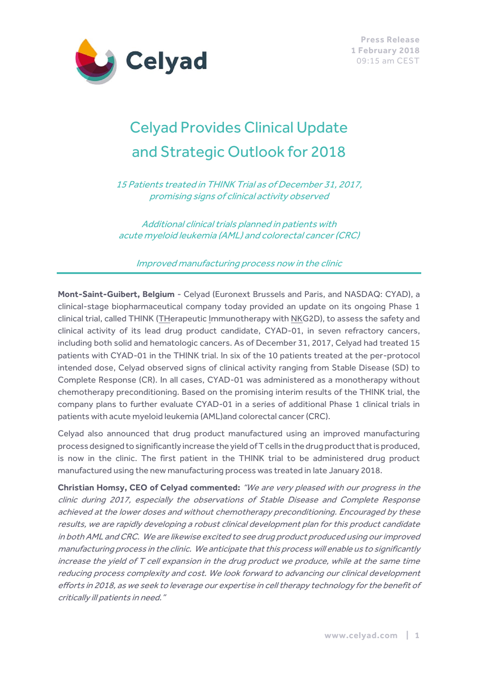

# Celyad Provides Clinical Update and Strategic Outlook for 2018

15 Patients treated in THINK Trial as of December 31, 2017, promising signs of clinical activity observed

Additional clinical trials planned in patients with acute myeloid leukemia (AML) and colorectal cancer (CRC)

Improved manufacturing process now in the clinic

**Mont-Saint-Guibert, Belgium** - Celyad (Euronext Brussels and Paris, and NASDAQ: CYAD), a clinical-stage biopharmaceutical company today provided an update on its ongoing Phase 1 clinical trial, called THINK (THerapeutic Immunotherapy with NKG2D), to assess the safety and clinical activity of its lead drug product candidate, CYAD-01, in seven refractory cancers, including both solid and hematologic cancers. As of December 31, 2017, Celyad had treated 15 patients with CYAD-01 in the THINK trial. In six of the 10 patients treated at the per-protocol intended dose, Celyad observed signs of clinical activity ranging from Stable Disease (SD) to Complete Response (CR). In all cases, CYAD-01 was administered as a monotherapy without chemotherapy preconditioning. Based on the promising interim results of the THINK trial, the company plans to further evaluate CYAD-01 in a series of additional Phase 1 clinical trials in patients with acute myeloid leukemia (AML)and colorectal cancer (CRC).

Celyad also announced that drug product manufactured using an improved manufacturing process designed to significantly increase the yield of T cells in the drug product that is produced, is now in the clinic. The first patient in the THINK trial to be administered drug product manufactured using the new manufacturing process was treated in late January 2018.

**Christian Homsy, CEO of Celyad commented:** "We are very pleased with our progress in the clinic during 2017, especially the observations of Stable Disease and Complete Response achieved at the lower doses and without chemotherapy preconditioning. Encouraged by these results, we are rapidly developing a robust clinical development plan for this product candidate in both AML and CRC. We are likewise excited to see drug product produced using our improved manufacturing process in the clinic. We anticipate that this process will enable us to significantly increase the yield of T cell expansion in the drug product we produce, while at the same time reducing process complexity and cost. We look forward to advancing our clinical development efforts in 2018, as we seek to leverage our expertise in cell therapy technology for the benefit of critically ill patients in need."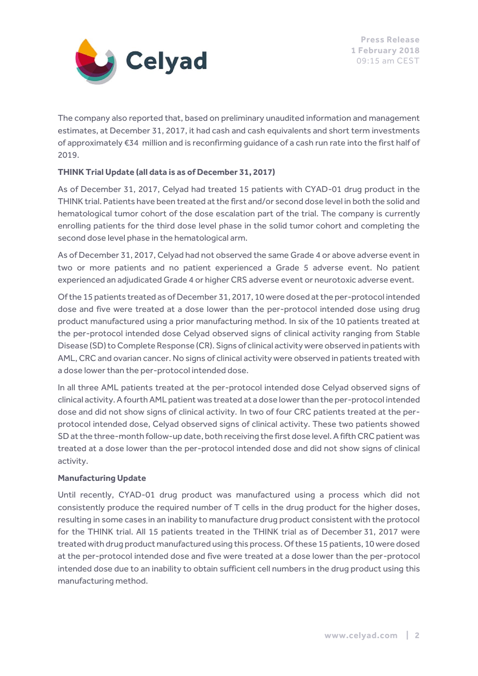

The company also reported that, based on preliminary unaudited information and management estimates, at December 31, 2017, it had cash and cash equivalents and short term investments of approximately €34 million and is reconfirming guidance of a cash run rate into the first half of 2019.

## **THINK Trial Update (all data is as of December 31, 2017)**

As of December 31, 2017, Celyad had treated 15 patients with CYAD-01 drug product in the THINK trial. Patients have been treated at the first and/or second dose level in both the solid and hematological tumor cohort of the dose escalation part of the trial. The company is currently enrolling patients for the third dose level phase in the solid tumor cohort and completing the second dose level phase in the hematological arm.

As of December 31, 2017, Celyad had not observed the same Grade 4 or above adverse event in two or more patients and no patient experienced a Grade 5 adverse event. No patient experienced an adjudicated Grade 4 or higher CRS adverse event or neurotoxic adverse event.

Of the 15 patients treated as of December 31, 2017, 10 were dosed at the per-protocol intended dose and five were treated at a dose lower than the per-protocol intended dose using drug product manufactured using a prior manufacturing method. In six of the 10 patients treated at the per-protocol intended dose Celyad observed signs of clinical activity ranging from Stable Disease (SD) to Complete Response (CR). Signs of clinical activity were observed in patients with AML, CRC and ovarian cancer. No signs of clinical activity were observed in patients treated with a dose lower than the per-protocol intended dose.

In all three AML patients treated at the per-protocol intended dose Celyad observed signs of clinical activity. A fourth AML patient was treated at a dose lower than the per-protocol intended dose and did not show signs of clinical activity. In two of four CRC patients treated at the perprotocol intended dose, Celyad observed signs of clinical activity. These two patients showed SD at the three-month follow-up date, both receiving the first dose level. A fifth CRC patient was treated at a dose lower than the per-protocol intended dose and did not show signs of clinical activity.

## **Manufacturing Update**

Until recently, CYAD-01 drug product was manufactured using a process which did not consistently produce the required number of T cells in the drug product for the higher doses, resulting in some cases in an inability to manufacture drug product consistent with the protocol for the THINK trial. All 15 patients treated in the THINK trial as of December 31, 2017 were treated with drug product manufactured using this process. Of these 15 patients, 10 were dosed at the per-protocol intended dose and five were treated at a dose lower than the per-protocol intended dose due to an inability to obtain sufficient cell numbers in the drug product using this manufacturing method.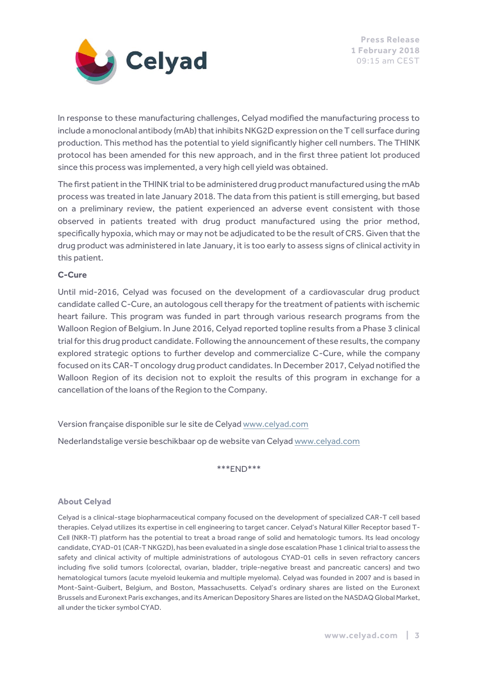

In response to these manufacturing challenges, Celyad modified the manufacturing process to include a monoclonal antibody (mAb) that inhibits NKG2D expression on the T cell surface during production. This method has the potential to yield significantly higher cell numbers. The THINK protocol has been amended for this new approach, and in the first three patient lot produced since this process was implemented, a very high cell yield was obtained.

The first patient in the THINK trial to be administered drug product manufactured using the mAb process was treated in late January 2018. The data from this patient is still emerging, but based on a preliminary review, the patient experienced an adverse event consistent with those observed in patients treated with drug product manufactured using the prior method, specifically hypoxia, which may or may not be adjudicated to be the result of CRS. Given that the drug product was administered in late January, it is too early to assess signs of clinical activity in this patient.

## **C-Cure**

Until mid-2016, Celyad was focused on the development of a cardiovascular drug product candidate called C-Cure, an autologous cell therapy for the treatment of patients with ischemic heart failure. This program was funded in part through various research programs from the Walloon Region of Belgium. In June 2016, Celyad reported topline results from a Phase 3 clinical trial for this drug product candidate. Following the announcement of these results, the company explored strategic options to further develop and commercialize C-Cure, while the company focused on its CAR-T oncology drug product candidates. In December 2017, Celyad notified the Walloon Region of its decision not to exploit the results of this program in exchange for a cancellation of the loans of the Region to the Company.

Version française disponible sur le site de Celyad [www.celyad.com](http://www.celyad.com/)

Nederlandstalige versie beschikbaar op de website van Celya[d www.celyad.com](http://www.celyad.com/)

\*\*\*END\*\*\*

## **About Celyad**

Celyad is a clinical-stage biopharmaceutical company focused on the development of specialized CAR-T cell based therapies. Celyad utilizes its expertise in cell engineering to target cancer. Celyad's Natural Killer Receptor based T-Cell (NKR-T) platform has the potential to treat a broad range of solid and hematologic tumors. Its lead oncology candidate, CYAD-01 (CAR-T NKG2D), has been evaluated in a single dose escalation Phase 1 clinical trial to assess the safety and clinical activity of multiple administrations of autologous CYAD-01 cells in seven refractory cancers including five solid tumors (colorectal, ovarian, bladder, triple-negative breast and pancreatic cancers) and two hematological tumors (acute myeloid leukemia and multiple myeloma). Celyad was founded in 2007 and is based in Mont-Saint-Guibert, Belgium, and Boston, Massachusetts. Celyad's ordinary shares are listed on the Euronext Brussels and Euronext Paris exchanges, and its American Depository Shares are listed on the NASDAQ Global Market, all under the ticker symbol CYAD.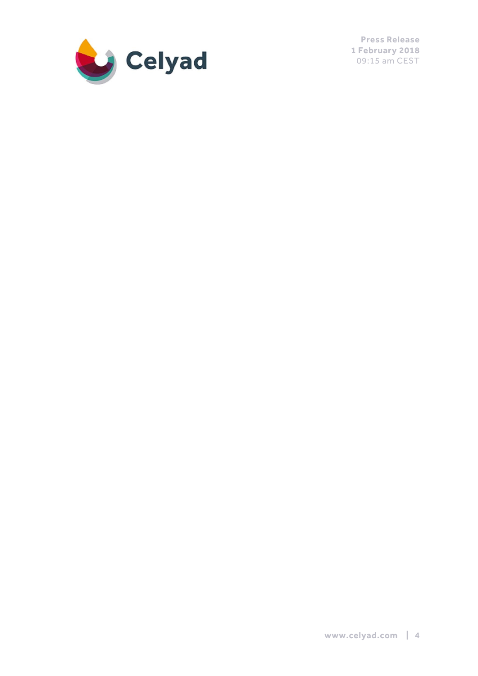

**Press Release 1 February 2018** 09:15 am CEST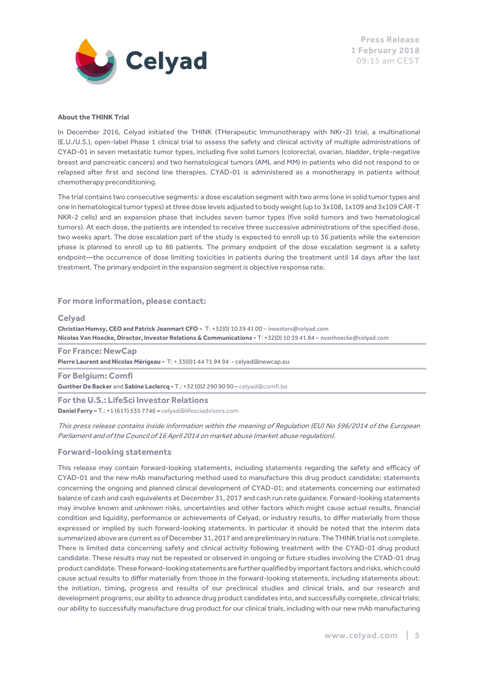

### **About the THINK Trial**

In December 2016, Celyad initiated the THINK (THerapeutic Immunotherapy with NKr-2) trial, a multinational (E.U./U.S.), open-label Phase 1 clinical trial to assess the safety and clinical activity of multiple administrations of CYAD-01 in seven metastatic tumor types, including five solid tumors (colorectal, ovarian, bladder, triple-negative breast and pancreatic cancers) and two hematological tumors (AML and MM) in patients who did not respond to or relapsed after first and second line therapies. CYAD-01 is administered as a monotherapy in patients without chemotherapy preconditioning.

The trial contains two consecutive segments: a dose escalation segment with two arms (one in solid tumor types and one in hematological tumor types) at three dose levels adjusted to body weight (up to 3x108, 1x109 and 3x109 CAR-T NKR-2 cells) and an expansion phase that includes seven tumor types (five solid tumors and two hematological tumors). At each dose, the patients are intended to receive three successive administrations of the specified dose, two weeks apart. The dose escalation part of the study is expected to enroll up to 36 patients while the extension phase is planned to enroll up to 86 patients. The primary endpoint of the dose escalation segment is a safety endpoint—the occurrence of dose limiting toxicities in patients during the treatment until 14 days after the last treatment. The primary endpoint in the expansion segment is objective response rate.

### **For more information, please contact:**

#### **Celyad**

**Christian Homsy, CEO and Patrick Jeanmart CFO -** T: +32(0) 10 39 41 00 **– investors@celyad.com Nicolas Van Hoecke, Director, Investor Relations & Communications -** T: +32(0) 10 39 41 84 **– nvanhoecke@celyad.com**

**For France: NewCap Pierre Laurent and Nicolas Mérigeau -** T: + 33(0)1 44 71 94 94 - celyad@newcap.eu

**For Belgium: Comfi**

**Gunther De Backer** and **Sabine Leclercq -** T.: +32 (0)2 290 90 90 – celyad@comfi.be

### **For the U.S.: LifeSci Investor Relations**

**Daniel Ferry –** T.: +1 (617) 535 7746 **–** celyad@lifesciadvisors.com

This press release contains inside information within the meaning of Regulation (EU) No 596/2014 of the European Parliament and of the Council of 16 April 2014 on market abuse (market abuse regulation).

### **Forward-looking statements**

This release may contain forward-looking statements, including statements regarding the safety and efficacy of CYAD-01 and the new mAb manufacturing method used to manufacture this drug product candidate; statements concerning the ongoing and planned clinical development of CYAD-01; and statements concerning our estimated balance of cash and cash equivalents at December 31, 2017 and cash run rate guidance. Forward-looking statements may involve known and unknown risks, uncertainties and other factors which might cause actual results, financial condition and liquidity, performance or achievements of Celyad, or industry results, to differ materially from those expressed or implied by such forward-looking statements. In particular it should be noted that the interim data summarized above are current as of December 31, 2017 and are preliminary in nature. The THINK trial is not complete. There is limited data concerning safety and clinical activity following treatment with the CYAD-01 drug product candidate. These results may not be repeated or observed in ongoing or future studies involving the CYAD-01 drug product candidate. These forward-looking statements are further qualified by important factors and risks, which could cause actual results to differ materially from those in the forward-looking statements, including statements about: the initiation, timing, progress and results of our preclinical studies and clinical trials, and our research and development programs; our ability to advance drug product candidates into, and successfully complete, clinical trials; our ability to successfully manufacture drug product for our clinical trials, including with our new mAb manufacturing